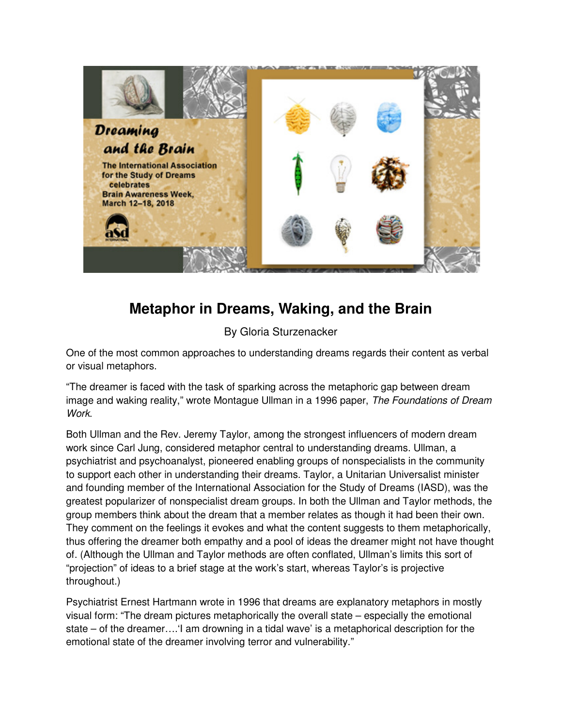

# **Metaphor in Dreams, Waking, and the Brain**

By Gloria Sturzenacker

One of the most common approaches to understanding dreams regards their content as verbal or visual metaphors.

"The dreamer is faced with the task of sparking across the metaphoric gap between dream image and waking reality," wrote Montague Ullman in a 1996 paper, The Foundations of Dream Work.

Both Ullman and the Rev. Jeremy Taylor, among the strongest influencers of modern dream work since Carl Jung, considered metaphor central to understanding dreams. Ullman, a psychiatrist and psychoanalyst, pioneered enabling groups of nonspecialists in the community to support each other in understanding their dreams. Taylor, a Unitarian Universalist minister and founding member of the International Association for the Study of Dreams (IASD), was the greatest popularizer of nonspecialist dream groups. In both the Ullman and Taylor methods, the group members think about the dream that a member relates as though it had been their own. They comment on the feelings it evokes and what the content suggests to them metaphorically, thus offering the dreamer both empathy and a pool of ideas the dreamer might not have thought of. (Although the Ullman and Taylor methods are often conflated, Ullman's limits this sort of "projection" of ideas to a brief stage at the work's start, whereas Taylor's is projective throughout.)

Psychiatrist Ernest Hartmann wrote in 1996 that dreams are explanatory metaphors in mostly visual form: "The dream pictures metaphorically the overall state – especially the emotional state – of the dreamer….'I am drowning in a tidal wave' is a metaphorical description for the emotional state of the dreamer involving terror and vulnerability."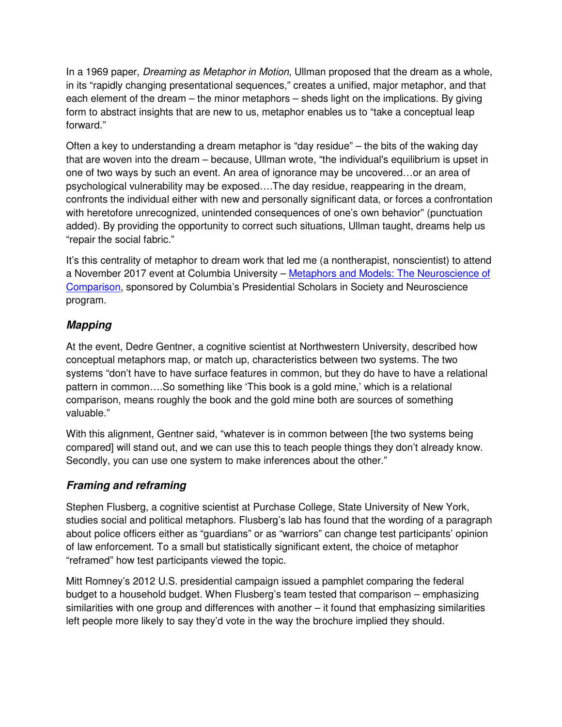In a 1969 paper, *Dreaming as Metaphor in Motion*, Ullman proposed that the dream as a whole, in its "rapidly changing presentational sequences," creates a unified, major metaphor, and that each element of the dream – the minor metaphors – sheds light on the implications. By giving form to abstract insights that are new to us, metaphor enables us to "take a conceptual leap forward."

Often a key to understanding a dream metaphor is "day residue" – the bits of the waking day that are woven into the dream – because, Ullman wrote, "the individual's equilibrium is upset in one of two ways by such an event. An area of ignorance may be uncovered…or an area of psychological vulnerability may be exposed….The day residue, reappearing in the dream, confronts the individual either with new and personally significant data, or forces a confrontation with heretofore unrecognized, unintended consequences of one's own behavior" (punctuation added). By providing the opportunity to correct such situations, Ullman taught, dreams help us "repair the social fabric."

It's this centrality of metaphor to dream work that led me (a nontherapist, nonscientist) to attend a November 2017 event at Columbia University – Metaphors and Models: The Neuroscience of Comparison, sponsored by Columbia's Presidential Scholars in Society and Neuroscience program.

### **Mapping**

At the event, Dedre Gentner, a cognitive scientist at Northwestern University, described how conceptual metaphors map, or match up, characteristics between two systems. The two systems "don't have to have surface features in common, but they do have to have a relational pattern in common….So something like 'This book is a gold mine,' which is a relational comparison, means roughly the book and the gold mine both are sources of something valuable."

With this alignment, Gentner said, "whatever is in common between [the two systems being compared] will stand out, and we can use this to teach people things they don't already know. Secondly, you can use one system to make inferences about the other."

## **Framing and reframing**

Stephen Flusberg, a cognitive scientist at Purchase College, State University of New York, studies social and political metaphors. Flusberg's lab has found that the wording of a paragraph about police officers either as "guardians" or as "warriors" can change test participants' opinion of law enforcement. To a small but statistically significant extent, the choice of metaphor "reframed" how test participants viewed the topic.

Mitt Romney's 2012 U.S. presidential campaign issued a pamphlet comparing the federal budget to a household budget. When Flusberg's team tested that comparison – emphasizing similarities with one group and differences with another – it found that emphasizing similarities left people more likely to say they'd vote in the way the brochure implied they should.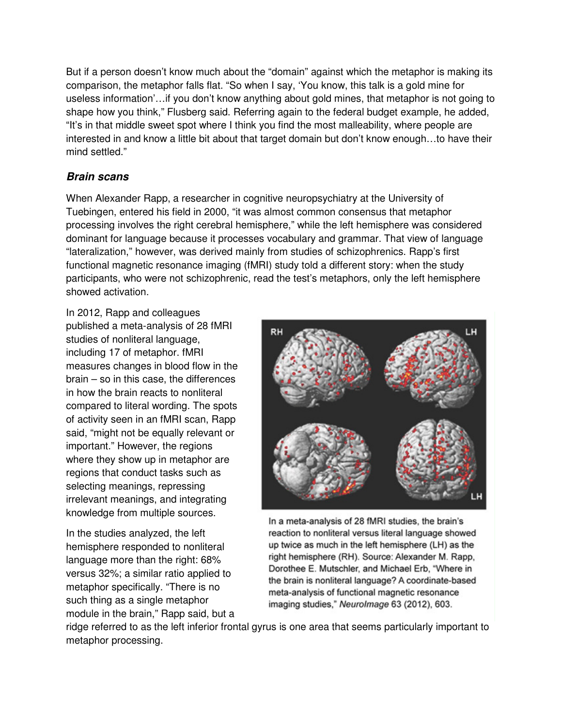But if a person doesn't know much about the "domain" against which the metaphor is making its comparison, the metaphor falls flat. "So when I say, 'You know, this talk is a gold mine for useless information'…if you don't know anything about gold mines, that metaphor is not going to shape how you think," Flusberg said. Referring again to the federal budget example, he added, "It's in that middle sweet spot where I think you find the most malleability, where people are interested in and know a little bit about that target domain but don't know enough…to have their mind settled."

#### **Brain scans**

When Alexander Rapp, a researcher in cognitive neuropsychiatry at the University of Tuebingen, entered his field in 2000, "it was almost common consensus that metaphor processing involves the right cerebral hemisphere," while the left hemisphere was considered dominant for language because it processes vocabulary and grammar. That view of language "lateralization," however, was derived mainly from studies of schizophrenics. Rapp's first functional magnetic resonance imaging (fMRI) study told a different story: when the study participants, who were not schizophrenic, read the test's metaphors, only the left hemisphere showed activation.

In 2012, Rapp and colleagues published a meta-analysis of 28 fMRI studies of nonliteral language, including 17 of metaphor. fMRI measures changes in blood flow in the brain – so in this case, the differences in how the brain reacts to nonliteral compared to literal wording. The spots of activity seen in an fMRI scan, Rapp said, "might not be equally relevant or important." However, the regions where they show up in metaphor are regions that conduct tasks such as selecting meanings, repressing irrelevant meanings, and integrating knowledge from multiple sources.

In the studies analyzed, the left hemisphere responded to nonliteral language more than the right: 68% versus 32%; a similar ratio applied to metaphor specifically. "There is no such thing as a single metaphor module in the brain," Rapp said, but a



In a meta-analysis of 28 fMRI studies, the brain's reaction to nonliteral versus literal language showed up twice as much in the left hemisphere (LH) as the right hemisphere (RH). Source: Alexander M. Rapp, Dorothee E. Mutschler, and Michael Erb, "Where in the brain is nonliteral language? A coordinate-based meta-analysis of functional magnetic resonance imaging studies," NeuroImage 63 (2012), 603.

ridge referred to as the left inferior frontal gyrus is one area that seems particularly important to metaphor processing.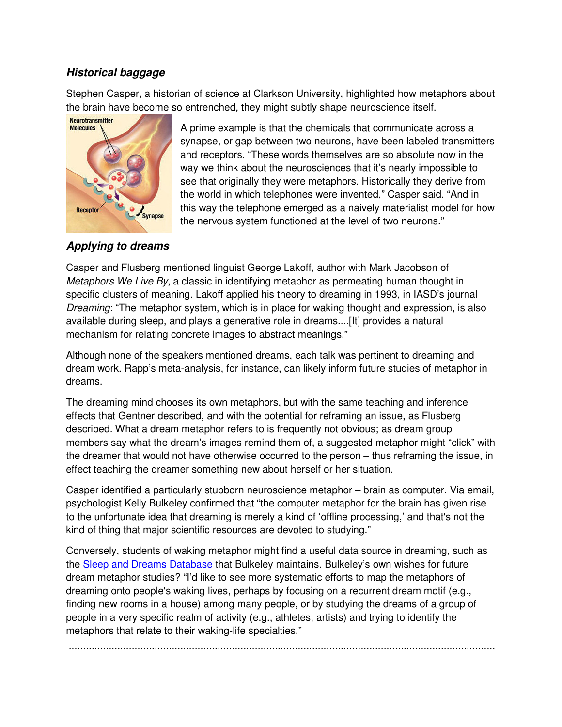#### **Historical baggage**

Stephen Casper, a historian of science at Clarkson University, highlighted how metaphors about the brain have become so entrenched, they might subtly shape neuroscience itself.



A prime example is that the chemicals that communicate across a synapse, or gap between two neurons, have been labeled transmitters and receptors. "These words themselves are so absolute now in the way we think about the neurosciences that it's nearly impossible to see that originally they were metaphors. Historically they derive from the world in which telephones were invented," Casper said. "And in this way the telephone emerged as a naively materialist model for how the nervous system functioned at the level of two neurons."

## **Applying to dreams**

Casper and Flusberg mentioned linguist George Lakoff, author with Mark Jacobson of Metaphors We Live By, a classic in identifying metaphor as permeating human thought in specific clusters of meaning. Lakoff applied his theory to dreaming in 1993, in IASD's journal Dreaming: "The metaphor system, which is in place for waking thought and expression, is also available during sleep, and plays a generative role in dreams....[It] provides a natural mechanism for relating concrete images to abstract meanings."

Although none of the speakers mentioned dreams, each talk was pertinent to dreaming and dream work. Rapp's meta-analysis, for instance, can likely inform future studies of metaphor in dreams.

The dreaming mind chooses its own metaphors, but with the same teaching and inference effects that Gentner described, and with the potential for reframing an issue, as Flusberg described. What a dream metaphor refers to is frequently not obvious; as dream group members say what the dream's images remind them of, a suggested metaphor might "click" with the dreamer that would not have otherwise occurred to the person – thus reframing the issue, in effect teaching the dreamer something new about herself or her situation.

Casper identified a particularly stubborn neuroscience metaphor – brain as computer. Via email, psychologist Kelly Bulkeley confirmed that "the computer metaphor for the brain has given rise to the unfortunate idea that dreaming is merely a kind of 'offline processing,' and that's not the kind of thing that major scientific resources are devoted to studying."

Conversely, students of waking metaphor might find a useful data source in dreaming, such as the Sleep and Dreams Database that Bulkeley maintains. Bulkeley's own wishes for future dream metaphor studies? "I'd like to see more systematic efforts to map the metaphors of dreaming onto people's waking lives, perhaps by focusing on a recurrent dream motif (e.g., finding new rooms in a house) among many people, or by studying the dreams of a group of people in a very specific realm of activity (e.g., athletes, artists) and trying to identify the metaphors that relate to their waking-life specialties."

.....................................................................................................................................................